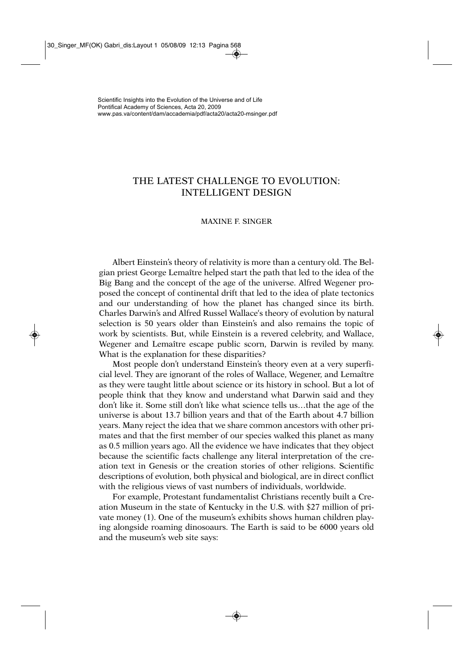## THE LATEST CHALLENGE TO EVOLUTION: INTELLIGENT DESIGN

## MAXINE F. SINGER

Albert Einstein's theory of relativity is more than a century old. The Belgian priest George Lemaître helped start the path that led to the idea of the Big Bang and the concept of the age of the universe. Alfred Wegener proposed the concept of continental drift that led to the idea of plate tectonics and our understanding of how the planet has changed since its birth. Charles Darwin's and Alfred Russel Wallace's theory of evolution by natural selection is 50 years older than Einstein's and also remains the topic of work by scientists. But, while Einstein is a revered celebrity, and Wallace, Wegener and Lemaître escape public scorn, Darwin is reviled by many. What is the explanation for these disparities?

Most people don't understand Einstein's theory even at a very superficial level. They are ignorant of the roles of Wallace, Wegener, and Lemaître as they were taught little about science or its history in school. But a lot of people think that they know and understand what Darwin said and they don't like it. Some still don't like what science tells us…that the age of the universe is about 13.7 billion years and that of the Earth about 4.7 billion years. Many reject the idea that we share common ancestors with other primates and that the first member of our species walked this planet as many as 0.5 million years ago. All the evidence we have indicates that they object because the scientific facts challenge any literal interpretation of the creation text in Genesis or the creation stories of other religions. Scientific descriptions of evolution, both physical and biological, are in direct conflict with the religious views of vast numbers of individuals, worldwide.

For example, Protestant fundamentalist Christians recently built a Creation Museum in the state of Kentucky in the U.S. with \$27 million of private money (1). One of the museum's exhibits shows human children playing alongside roaming dinosoaurs. The Earth is said to be 6000 years old and the museum's web site says: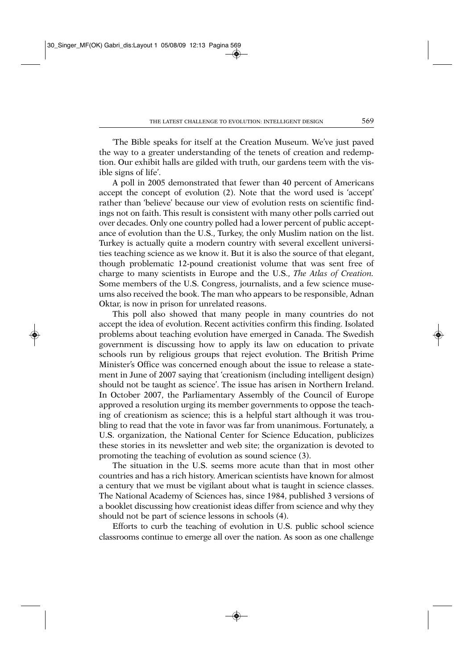'The Bible speaks for itself at the Creation Museum. We've just paved the way to a greater understanding of the tenets of creation and redemption. Our exhibit halls are gilded with truth, our gardens teem with the visible signs of life'.

A poll in 2005 demonstrated that fewer than 40 percent of Americans accept the concept of evolution (2). Note that the word used is 'accept' rather than 'believe' because our view of evolution rests on scientific findings not on faith. This result is consistent with many other polls carried out over decades. Only one country polled had a lower percent of public acceptance of evolution than the U.S., Turkey, the only Muslim nation on the list. Turkey is actually quite a modern country with several excellent universities teaching science as we know it. But it is also the source of that elegant, though problematic 12-pound creationist volume that was sent free of charge to many scientists in Europe and the U.S., *The Atlas of Creation.* Some members of the U.S. Congress, journalists, and a few science museums also received the book. The man who appears to be responsible, Adnan Oktar, is now in prison for unrelated reasons.

This poll also showed that many people in many countries do not accept the idea of evolution. Recent activities confirm this finding. Isolated problems about teaching evolution have emerged in Canada. The Swedish government is discussing how to apply its law on education to private schools run by religious groups that reject evolution. The British Prime Minister's Office was concerned enough about the issue to release a statement in June of 2007 saying that 'creationism (including intelligent design) should not be taught as science'. The issue has arisen in Northern Ireland. In October 2007, the Parliamentary Assembly of the Council of Europe approved a resolution urging its member governments to oppose the teaching of creationism as science; this is a helpful start although it was troubling to read that the vote in favor was far from unanimous. Fortunately, a U.S. organization, the National Center for Science Education, publicizes these stories in its newsletter and web site; the organization is devoted to promoting the teaching of evolution as sound science (3).

The situation in the U.S. seems more acute than that in most other countries and has a rich history. American scientists have known for almost a century that we must be vigilant about what is taught in science classes. The National Academy of Sciences has, since 1984, published 3 versions of a booklet discussing how creationist ideas differ from science and why they should not be part of science lessons in schools (4).

Efforts to curb the teaching of evolution in U.S. public school science classrooms continue to emerge all over the nation. As soon as one challenge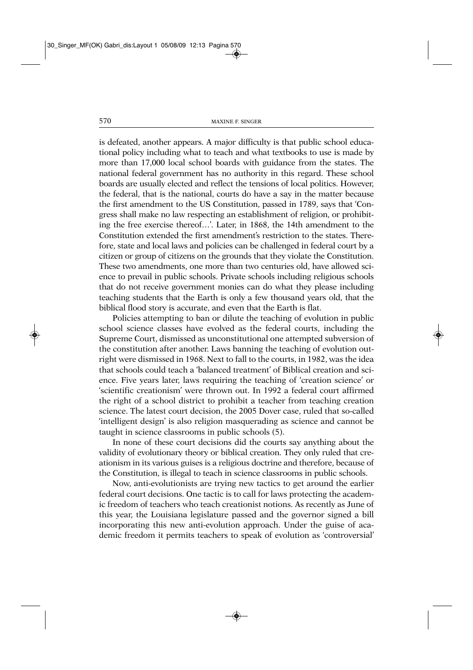is defeated, another appears. A major difficulty is that public school educational policy including what to teach and what textbooks to use is made by more than 17,000 local school boards with guidance from the states. The national federal government has no authority in this regard. These school boards are usually elected and reflect the tensions of local politics. However, the federal, that is the national, courts do have a say in the matter because the first amendment to the US Constitution, passed in 1789, says that 'Congress shall make no law respecting an establishment of religion, or prohibiting the free exercise thereof…'. Later, in 1868, the 14th amendment to the Constitution extended the first amendment's restriction to the states. Therefore, state and local laws and policies can be challenged in federal court by a citizen or group of citizens on the grounds that they violate the Constitution. These two amendments, one more than two centuries old, have allowed science to prevail in public schools. Private schools including religious schools that do not receive government monies can do what they please including teaching students that the Earth is only a few thousand years old, that the biblical flood story is accurate, and even that the Earth is flat.

Policies attempting to ban or dilute the teaching of evolution in public school science classes have evolved as the federal courts, including the Supreme Court, dismissed as unconstitutional one attempted subversion of the constitution after another. Laws banning the teaching of evolution outright were dismissed in 1968. Next to fall to the courts, in 1982, was the idea that schools could teach a 'balanced treatment' of Biblical creation and science. Five years later, laws requiring the teaching of 'creation science' or 'scientific creationism' were thrown out. In 1992 a federal court affirmed the right of a school district to prohibit a teacher from teaching creation science. The latest court decision, the 2005 Dover case, ruled that so-called 'intelligent design' is also religion masquerading as science and cannot be taught in science classrooms in public schools (5).

In none of these court decisions did the courts say anything about the validity of evolutionary theory or biblical creation. They only ruled that creationism in its various guises is a religious doctrine and therefore, because of the Constitution, is illegal to teach in science classrooms in public schools.

Now, anti-evolutionists are trying new tactics to get around the earlier federal court decisions. One tactic is to call for laws protecting the academic freedom of teachers who teach creationist notions. As recently as June of this year, the Louisiana legislature passed and the governor signed a bill incorporating this new anti-evolution approach. Under the guise of academic freedom it permits teachers to speak of evolution as 'controversial'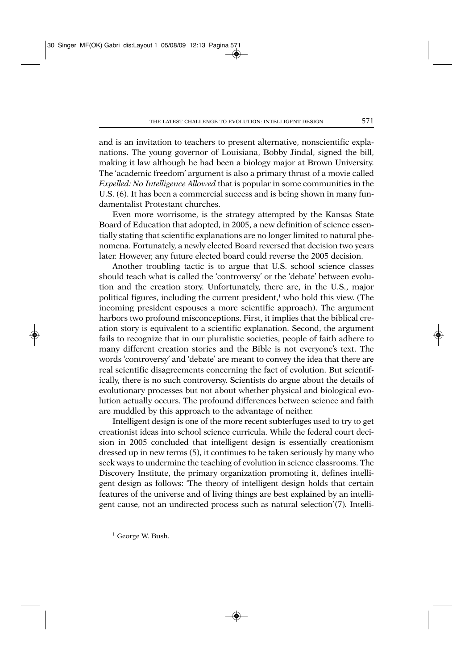and is an invitation to teachers to present alternative, nonscientific explanations. The young governor of Louisiana, Bobby Jindal, signed the bill, making it law although he had been a biology major at Brown University. The 'academic freedom' argument is also a primary thrust of a movie called *Expelled: No Intelligence Allowed* that is popular in some communities in the U.S. (6). It has been a commercial success and is being shown in many fundamentalist Protestant churches.

Even more worrisome, is the strategy attempted by the Kansas State Board of Education that adopted, in 2005, a new definition of science essentially stating that scientific explanations are no longer limited to natural phenomena. Fortunately, a newly elected Board reversed that decision two years later. However, any future elected board could reverse the 2005 decision.

Another troubling tactic is to argue that U.S. school science classes should teach what is called the 'controversy' or the 'debate' between evolution and the creation story. Unfortunately, there are, in the U.S., major political figures, including the current president,<sup>1</sup> who hold this view. (The incoming president espouses a more scientific approach). The argument harbors two profound misconceptions. First, it implies that the biblical creation story is equivalent to a scientific explanation. Second, the argument fails to recognize that in our pluralistic societies, people of faith adhere to many different creation stories and the Bible is not everyone's text. The words 'controversy' and 'debate' are meant to convey the idea that there are real scientific disagreements concerning the fact of evolution. But scientifically, there is no such controversy. Scientists do argue about the details of evolutionary processes but not about whether physical and biological evolution actually occurs. The profound differences between science and faith are muddled by this approach to the advantage of neither.

Intelligent design is one of the more recent subterfuges used to try to get creationist ideas into school science curricula. While the federal court decision in 2005 concluded that intelligent design is essentially creationism dressed up in new terms (5), it continues to be taken seriously by many who seek ways to undermine the teaching of evolution in science classrooms. The Discovery Institute, the primary organization promoting it, defines intelligent design as follows: 'The theory of intelligent design holds that certain features of the universe and of living things are best explained by an intelligent cause, not an undirected process such as natural selection'(7)*.* Intelli-

<sup>1</sup> George W. Bush.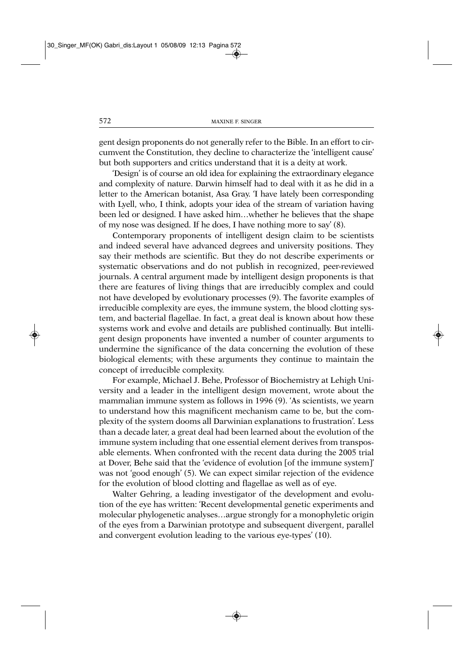gent design proponents do not generally refer to the Bible. In an effort to circumvent the Constitution, they decline to characterize the 'intelligent cause' but both supporters and critics understand that it is a deity at work.

'Design' is of course an old idea for explaining the extraordinary elegance and complexity of nature. Darwin himself had to deal with it as he did in a letter to the American botanist, Asa Gray. 'I have lately been corresponding with Lyell, who, I think, adopts your idea of the stream of variation having been led or designed. I have asked him…whether he believes that the shape of my nose was designed. If he does, I have nothing more to say' (8).

Contemporary proponents of intelligent design claim to be scientists and indeed several have advanced degrees and university positions. They say their methods are scientific. But they do not describe experiments or systematic observations and do not publish in recognized, peer-reviewed journals. A central argument made by intelligent design proponents is that there are features of living things that are irreducibly complex and could not have developed by evolutionary processes (9). The favorite examples of irreducible complexity are eyes, the immune system, the blood clotting system, and bacterial flagellae. In fact, a great deal is known about how these systems work and evolve and details are published continually. But intelligent design proponents have invented a number of counter arguments to undermine the significance of the data concerning the evolution of these biological elements; with these arguments they continue to maintain the concept of irreducible complexity.

For example, Michael J. Behe, Professor of Biochemistry at Lehigh University and a leader in the intelligent design movement, wrote about the mammalian immune system as follows in 1996 (9). 'As scientists, we yearn to understand how this magnificent mechanism came to be, but the complexity of the system dooms all Darwinian explanations to frustration'*.* Less than a decade later, a great deal had been learned about the evolution of the immune system including that one essential element derives from transposable elements. When confronted with the recent data during the 2005 trial at Dover, Behe said that the 'evidence of evolution [of the immune system]' was not 'good enough' (5). We can expect similar rejection of the evidence for the evolution of blood clotting and flagellae as well as of eye.

Walter Gehring, a leading investigator of the development and evolution of the eye has written: 'Recent developmental genetic experiments and molecular phylogenetic analyses…argue strongly for a monophyletic origin of the eyes from a Darwinian prototype and subsequent divergent, parallel and convergent evolution leading to the various eye-types' (10).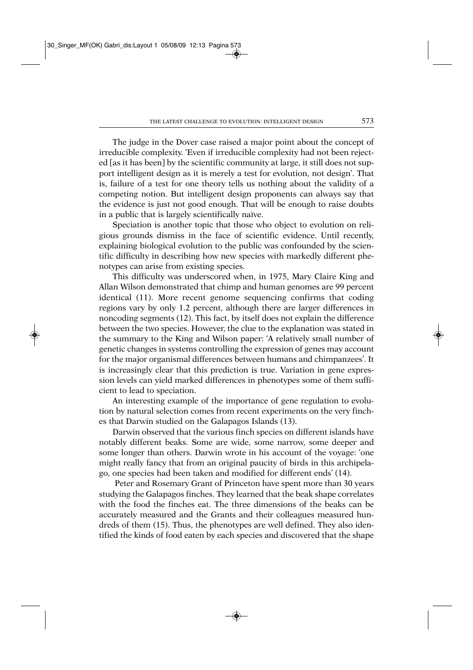The judge in the Dover case raised a major point about the concept of irreducible complexity. 'Even if irreducible complexity had not been rejected [as it has been] by the scientific community at large, it still does not support intelligent design as it is merely a test for evolution, not design'. That is, failure of a test for one theory tells us nothing about the validity of a competing notion. But intelligent design proponents can always say that the evidence is just not good enough. That will be enough to raise doubts in a public that is largely scientifically naïve.

Speciation is another topic that those who object to evolution on religious grounds dismiss in the face of scientific evidence. Until recently, explaining biological evolution to the public was confounded by the scientific difficulty in describing how new species with markedly different phenotypes can arise from existing species.

This difficulty was underscored when, in 1975, Mary Claire King and Allan Wilson demonstrated that chimp and human genomes are 99 percent identical (11). More recent genome sequencing confirms that coding regions vary by only 1.2 percent, although there are larger differences in noncoding segments (12). This fact, by itself does not explain the difference between the two species. However, the clue to the explanation was stated in the summary to the King and Wilson paper: 'A relatively small number of genetic changes in systems controlling the expression of genes may account for the major organismal differences between humans and chimpanzees'. It is increasingly clear that this prediction is true. Variation in gene expression levels can yield marked differences in phenotypes some of them sufficient to lead to speciation.

An interesting example of the importance of gene regulation to evolution by natural selection comes from recent experiments on the very finches that Darwin studied on the Galapagos Islands (13).

Darwin observed that the various finch species on different islands have notably different beaks. Some are wide, some narrow, some deeper and some longer than others. Darwin wrote in his account of the voyage: 'one might really fancy that from an original paucity of birds in this archipelago, one species had been taken and modified for different ends' (14).

Peter and Rosemary Grant of Princeton have spent more than 30 years studying the Galapagos finches. They learned that the beak shape correlates with the food the finches eat. The three dimensions of the beaks can be accurately measured and the Grants and their colleagues measured hundreds of them (15). Thus, the phenotypes are well defined. They also identified the kinds of food eaten by each species and discovered that the shape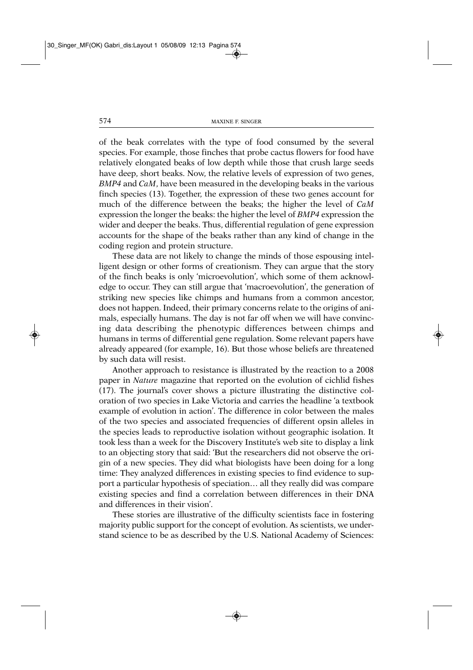of the beak correlates with the type of food consumed by the several species. For example, those finches that probe cactus flowers for food have relatively elongated beaks of low depth while those that crush large seeds have deep, short beaks. Now, the relative levels of expression of two genes, *BMP4* and *CaM*, have been measured in the developing beaks in the various finch species (13). Together, the expression of these two genes account for much of the difference between the beaks; the higher the level of *CaM* expression the longer the beaks: the higher the level of *BMP4* expression the wider and deeper the beaks. Thus, differential regulation of gene expression accounts for the shape of the beaks rather than any kind of change in the coding region and protein structure.

These data are not likely to change the minds of those espousing intelligent design or other forms of creationism. They can argue that the story of the finch beaks is only 'microevolution', which some of them acknowledge to occur. They can still argue that 'macroevolution', the generation of striking new species like chimps and humans from a common ancestor, does not happen. Indeed, their primary concerns relate to the origins of animals, especially humans. The day is not far off when we will have convincing data describing the phenotypic differences between chimps and humans in terms of differential gene regulation. Some relevant papers have already appeared (for example, 16). But those whose beliefs are threatened by such data will resist.

Another approach to resistance is illustrated by the reaction to a 2008 paper in *Nature* magazine that reported on the evolution of cichlid fishes (17). The journal's cover shows a picture illustrating the distinctive coloration of two species in Lake Victoria and carries the headline 'a textbook example of evolution in action'. The difference in color between the males of the two species and associated frequencies of different opsin alleles in the species leads to reproductive isolation without geographic isolation. It took less than a week for the Discovery Institute's web site to display a link to an objecting story that said: 'But the researchers did not observe the origin of a new species. They did what biologists have been doing for a long time: They analyzed differences in existing species to find evidence to support a particular hypothesis of speciation… all they really did was compare existing species and find a correlation between differences in their DNA and differences in their vision'.

These stories are illustrative of the difficulty scientists face in fostering majority public support for the concept of evolution. As scientists, we understand science to be as described by the U.S. National Academy of Sciences: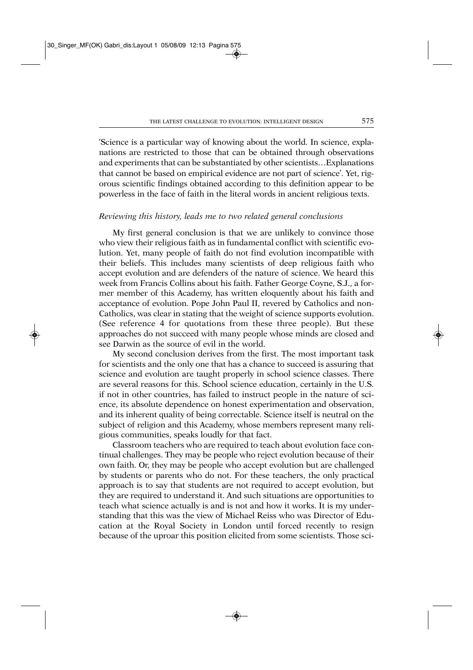'Science is a particular way of knowing about the world. In science, explanations are restricted to those that can be obtained through observations and experiments that can be substantiated by other scientists…Explanations that cannot be based on empirical evidence are not part of science'. Yet, rigorous scientific findings obtained according to this definition appear to be powerless in the face of faith in the literal words in ancient religious texts.

## *Reviewing this history, leads me to two related general conclusions*

My first general conclusion is that we are unlikely to convince those who view their religious faith as in fundamental conflict with scientific evolution. Yet, many people of faith do not find evolution incompatible with their beliefs. This includes many scientists of deep religious faith who accept evolution and are defenders of the nature of science. We heard this week from Francis Collins about his faith. Father George Coyne, S.J., a former member of this Academy, has written eloquently about his faith and acceptance of evolution. Pope John Paul II, revered by Catholics and non-Catholics, was clear in stating that the weight of science supports evolution. (See reference 4 for quotations from these three people). But these approaches do not succeed with many people whose minds are closed and see Darwin as the source of evil in the world.

My second conclusion derives from the first. The most important task for scientists and the only one that has a chance to succeed is assuring that science and evolution are taught properly in school science classes. There are several reasons for this. School science education, certainly in the U.S. if not in other countries, has failed to instruct people in the nature of science, its absolute dependence on honest experimentation and observation, and its inherent quality of being correctable. Science itself is neutral on the subject of religion and this Academy, whose members represent many religious communities, speaks loudly for that fact.

Classroom teachers who are required to teach about evolution face continual challenges. They may be people who reject evolution because of their own faith. Or, they may be people who accept evolution but are challenged by students or parents who do not. For these teachers, the only practical approach is to say that students are not required to accept evolution, but they are required to understand it. And such situations are opportunities to teach what science actually is and is not and how it works. It is my understanding that this was the view of Michael Reiss who was Director of Education at the Royal Society in London until forced recently to resign because of the uproar this position elicited from some scientists. Those sci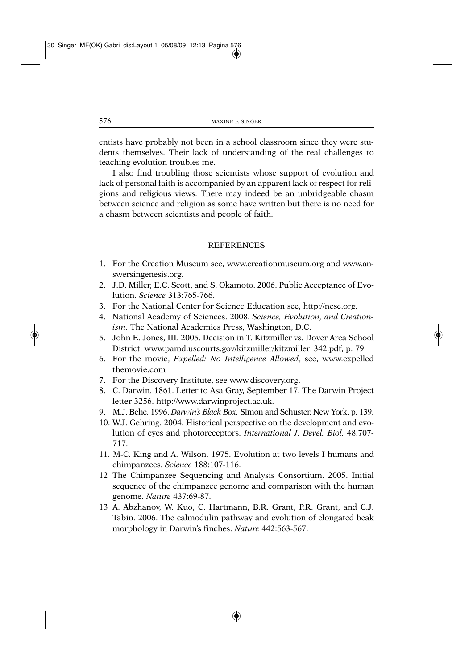entists have probably not been in a school classroom since they were students themselves. Their lack of understanding of the real challenges to teaching evolution troubles me.

I also find troubling those scientists whose support of evolution and lack of personal faith is accompanied by an apparent lack of respect for religions and religious views. There may indeed be an unbridgeable chasm between science and religion as some have written but there is no need for a chasm between scientists and people of faith.

## REFERENCES

- 1. For the Creation Museum see, www.creationmuseum.org and www.answersingenesis.org.
- 2. J.D. Miller, E.C. Scott, and S. Okamoto. 2006. Public Acceptance of Evolution. *Science* 313:765-766.
- 3. For the National Center for Science Education see, http://ncse.org.
- 4. National Academy of Sciences. 2008. *Science, Evolution, and Creationism.* The National Academies Press, Washington, D.C.
- 5. John E. Jones, III*.* 2005. Decision in T. Kitzmiller vs. Dover Area School District, www.pamd.uscourts.gov/kitzmiller/kitzmiller\_342.pdf, p. 79
- 6. For the movie, *Expelled: No Intelligence Allowed*, see, www.expelled themovie.com
- 7. For the Discovery Institute, see www.discovery.org.
- 8. C. Darwin. 1861. Letter to Asa Gray, September 17. The Darwin Project letter 3256. http://www.darwinproject.ac.uk.
- 9. M.J. Behe. 1996. *Darwin's Black Box.* Simon and Schuster, New York. p. 139.
- 10. W.J. Gehring. 2004. Historical perspective on the development and evolution of eyes and photoreceptors. *International J. Devel. Biol.* 48:707- 717.
- 11. M-C. King and A. Wilson. 1975. Evolution at two levels I humans and chimpanzees. *Science* 188:107-116.
- 12 The Chimpanzee Sequencing and Analysis Consortium. 2005. Initial sequence of the chimpanzee genome and comparison with the human genome. *Nature* 437:69-87.
- 13 A. Abzhanov, W. Kuo, C. Hartmann, B.R. Grant, P.R. Grant, and C.J. Tabin. 2006. The calmodulin pathway and evolution of elongated beak morphology in Darwin's finches. *Nature* 442:563-567.